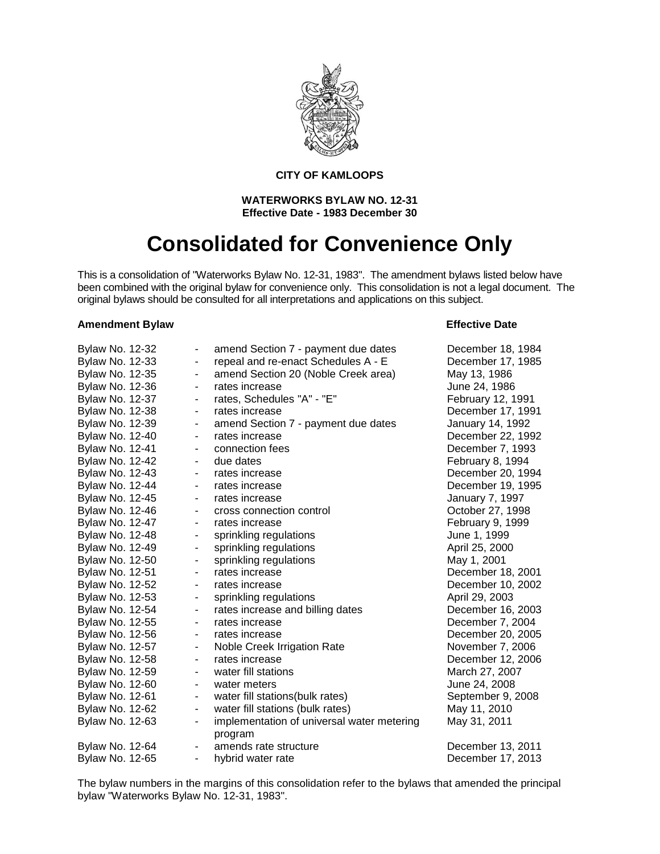

#### **CITY OF KAMLOOPS**

#### **WATERWORKS BYLAW NO. 12-31 Effective Date - 1983 December 30**

# **Consolidated for Convenience Only**

This is a consolidation of "Waterworks Bylaw No. 12-31, 1983". The amendment bylaws listed below have been combined with the original bylaw for convenience only. This consolidation is not a legal document. The original bylaws should be consulted for all interpretations and applications on this subject.

#### **Amendment Bylaw Effective Date**

| <b>Bylaw No. 12-32</b> |                          | amend Section 7 - payment due dates                   | December 18, 1984 |
|------------------------|--------------------------|-------------------------------------------------------|-------------------|
| Bylaw No. 12-33        | -                        | repeal and re-enact Schedules A - E                   | December 17, 1985 |
| Bylaw No. 12-35        | -                        | amend Section 20 (Noble Creek area)                   | May 13, 1986      |
| <b>Bylaw No. 12-36</b> | -                        | rates increase                                        | June 24, 1986     |
| <b>Bylaw No. 12-37</b> | -                        | rates, Schedules "A" - "E"                            | February 12, 1991 |
| Bylaw No. 12-38        | -                        | rates increase                                        | December 17, 1991 |
| Bylaw No. 12-39        | -                        | amend Section 7 - payment due dates                   | January 14, 1992  |
| Bylaw No. 12-40        | -                        | rates increase                                        | December 22, 1992 |
| <b>Bylaw No. 12-41</b> | -                        | connection fees                                       | December 7, 1993  |
| <b>Bylaw No. 12-42</b> | ۰                        | due dates                                             | February 8, 1994  |
| <b>Bylaw No. 12-43</b> | -                        | rates increase                                        | December 20, 1994 |
| <b>Bylaw No. 12-44</b> | -                        | rates increase                                        | December 19, 1995 |
| Bylaw No. 12-45        | $\overline{\phantom{0}}$ | rates increase                                        | January 7, 1997   |
| <b>Bylaw No. 12-46</b> | -                        | cross connection control                              | October 27, 1998  |
| <b>Bylaw No. 12-47</b> | -                        | rates increase                                        | February 9, 1999  |
| Bylaw No. 12-48        | -                        | sprinkling regulations                                | June 1, 1999      |
| Bylaw No. 12-49        | -                        | sprinkling regulations                                | April 25, 2000    |
| Bylaw No. 12-50        | -                        | sprinkling regulations                                | May 1, 2001       |
| Bylaw No. 12-51        | -                        | rates increase                                        | December 18, 2001 |
| <b>Bylaw No. 12-52</b> | ٠                        | rates increase                                        | December 10, 2002 |
| Bylaw No. 12-53        | -                        | sprinkling regulations                                | April 29, 2003    |
| Bylaw No. 12-54        | -                        | rates increase and billing dates                      | December 16, 2003 |
| Bylaw No. 12-55        | -                        | rates increase                                        | December 7, 2004  |
| Bylaw No. 12-56        | $\overline{\phantom{0}}$ | rates increase                                        | December 20, 2005 |
| Bylaw No. 12-57        | -                        | Noble Creek Irrigation Rate                           | November 7, 2006  |
| Bylaw No. 12-58        | ۰                        | rates increase                                        | December 12, 2006 |
| Bylaw No. 12-59        | -                        | water fill stations                                   | March 27, 2007    |
| Bylaw No. 12-60        | -                        | water meters                                          | June 24, 2008     |
| Bylaw No. 12-61        | -                        | water fill stations(bulk rates)                       | September 9, 2008 |
| Bylaw No. 12-62        | ۰                        | water fill stations (bulk rates)                      | May 11, 2010      |
| Bylaw No. 12-63        | -                        | implementation of universal water metering<br>program | May 31, 2011      |
| Bylaw No. 12-64        | ٠                        | amends rate structure                                 | December 13, 2011 |
| Bylaw No. 12-65        | -                        | hybrid water rate                                     | December 17, 2013 |
|                        |                          |                                                       |                   |

The bylaw numbers in the margins of this consolidation refer to the bylaws that amended the principal bylaw "Waterworks Bylaw No. 12-31, 1983".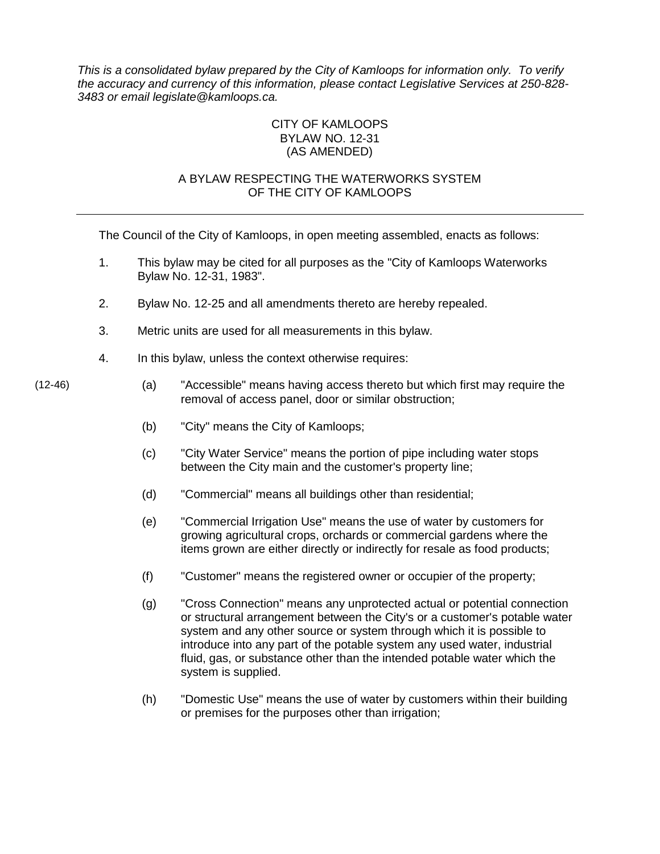*This is a consolidated bylaw prepared by the City of Kamloops for information only. To verify the accuracy and currency of this information, please contact Legislative Services at 250-828- 3483 or email legislate@kamloops.ca.*

#### CITY OF KAMLOOPS BYLAW NO. 12-31 (AS AMENDED)

#### A BYLAW RESPECTING THE WATERWORKS SYSTEM OF THE CITY OF KAMLOOPS

The Council of the City of Kamloops, in open meeting assembled, enacts as follows:

- 1. This bylaw may be cited for all purposes as the "City of Kamloops Waterworks Bylaw No. 12-31, 1983".
- 2. Bylaw No. 12-25 and all amendments thereto are hereby repealed.
- 3. Metric units are used for all measurements in this bylaw.
- 4. In this bylaw, unless the context otherwise requires:

- (12-46) (a) "Accessible" means having access thereto but which first may require the removal of access panel, door or similar obstruction;
	- (b) "City" means the City of Kamloops;
	- (c) "City Water Service" means the portion of pipe including water stops between the City main and the customer's property line;
	- (d) "Commercial" means all buildings other than residential;
	- (e) "Commercial Irrigation Use" means the use of water by customers for growing agricultural crops, orchards or commercial gardens where the items grown are either directly or indirectly for resale as food products;
	- (f) "Customer" means the registered owner or occupier of the property;
	- (g) "Cross Connection" means any unprotected actual or potential connection or structural arrangement between the City's or a customer's potable water system and any other source or system through which it is possible to introduce into any part of the potable system any used water, industrial fluid, gas, or substance other than the intended potable water which the system is supplied.
	- (h) "Domestic Use" means the use of water by customers within their building or premises for the purposes other than irrigation;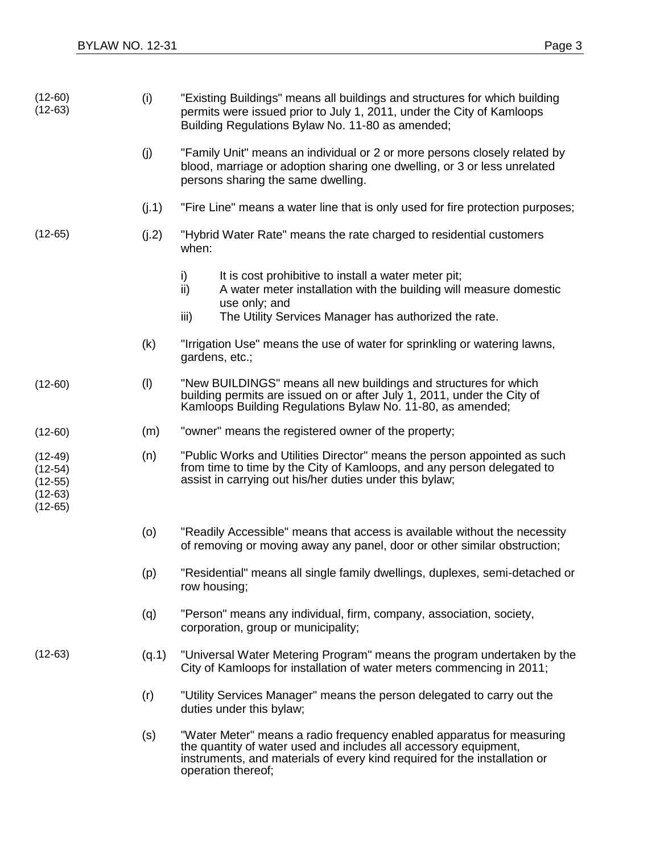| $(12-60)$<br>$(12-63)$                                        | (i)   | "Existing Buildings" means all buildings and structures for which building<br>permits were issued prior to July 1, 2011, under the City of Kamloops<br>Building Regulations Bylaw No. 11-80 as amended;                                      |  |  |  |
|---------------------------------------------------------------|-------|----------------------------------------------------------------------------------------------------------------------------------------------------------------------------------------------------------------------------------------------|--|--|--|
|                                                               | (j)   | "Family Unit" means an individual or 2 or more persons closely related by<br>blood, marriage or adoption sharing one dwelling, or 3 or less unrelated<br>persons sharing the same dwelling.                                                  |  |  |  |
|                                                               | (j.1) | "Fire Line" means a water line that is only used for fire protection purposes;                                                                                                                                                               |  |  |  |
| $(12-65)$                                                     | (j.2) | "Hybrid Water Rate" means the rate charged to residential customers<br>when:                                                                                                                                                                 |  |  |  |
|                                                               |       | It is cost prohibitive to install a water meter pit;<br>i)<br>ii)<br>A water meter installation with the building will measure domestic<br>use only; and<br>The Utility Services Manager has authorized the rate.<br>iii)                    |  |  |  |
|                                                               | (k)   | "Irrigation Use" means the use of water for sprinkling or watering lawns,<br>gardens, etc.;                                                                                                                                                  |  |  |  |
| $(12-60)$                                                     | (1)   | "New BUILDINGS" means all new buildings and structures for which<br>building permits are issued on or after July 1, 2011, under the City of<br>Kamloops Building Regulations Bylaw No. 11-80, as amended;                                    |  |  |  |
| $(12-60)$                                                     | (m)   | "owner" means the registered owner of the property;                                                                                                                                                                                          |  |  |  |
| $(12-49)$<br>$(12-54)$<br>$(12-55)$<br>$(12-63)$<br>$(12-65)$ | (n)   | "Public Works and Utilities Director" means the person appointed as such<br>from time to time by the City of Kamloops, and any person delegated to<br>assist in carrying out his/her duties under this bylaw;                                |  |  |  |
|                                                               | (o)   | "Readily Accessible" means that access is available without the necessity<br>of removing or moving away any panel, door or other similar obstruction;                                                                                        |  |  |  |
|                                                               | (p)   | "Residential" means all single family dwellings, duplexes, semi-detached or<br>row housing;                                                                                                                                                  |  |  |  |
|                                                               | (q)   | "Person" means any individual, firm, company, association, society,<br>corporation, group or municipality;                                                                                                                                   |  |  |  |
| $(12-63)$                                                     | (q.1) | "Universal Water Metering Program" means the program undertaken by the<br>City of Kamloops for installation of water meters commencing in 2011;                                                                                              |  |  |  |
|                                                               | (r)   | "Utility Services Manager" means the person delegated to carry out the<br>duties under this bylaw;                                                                                                                                           |  |  |  |
|                                                               | (s)   | "Water Meter" means a radio frequency enabled apparatus for measuring<br>the quantity of water used and includes all accessory equipment,<br>instruments, and materials of every kind required for the installation or<br>operation thereof; |  |  |  |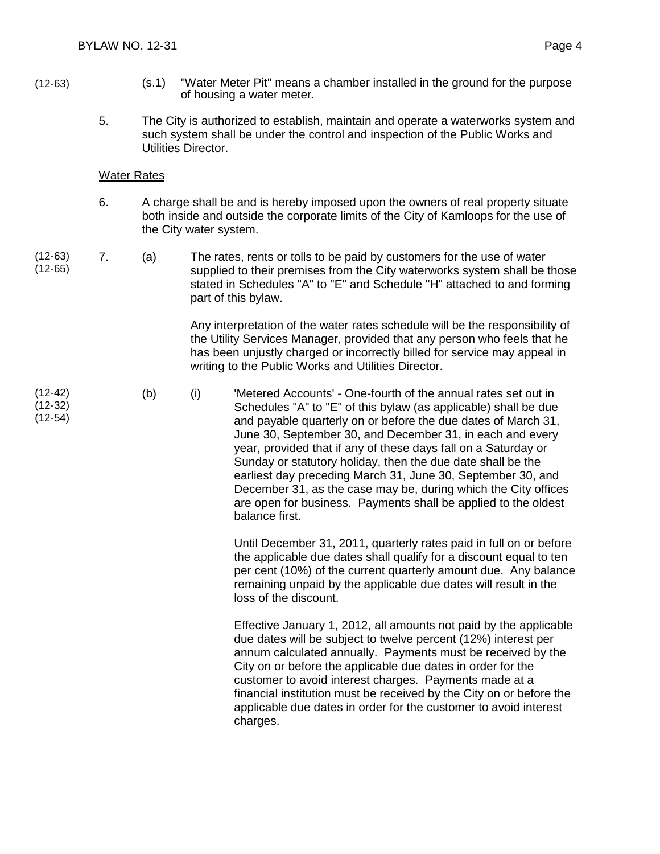- 
- (12-63) (s.1) "Water Meter Pit" means a chamber installed in the ground for the purpose of housing a water meter.
	- 5. The City is authorized to establish, maintain and operate a waterworks system and such system shall be under the control and inspection of the Public Works and Utilities Director.

#### Water Rates

- 6. A charge shall be and is hereby imposed upon the owners of real property situate both inside and outside the corporate limits of the City of Kamloops for the use of the City water system.
- (12-63) (12-65)

(12-42) (12-32) (12-54) 7. (a) The rates, rents or tolls to be paid by customers for the use of water supplied to their premises from the City waterworks system shall be those stated in Schedules "A" to "E" and Schedule "H" attached to and forming part of this bylaw.

> Any interpretation of the water rates schedule will be the responsibility of the Utility Services Manager, provided that any person who feels that he has been unjustly charged or incorrectly billed for service may appeal in writing to the Public Works and Utilities Director.

(b) (i) 'Metered Accounts' - One-fourth of the annual rates set out in Schedules "A" to "E" of this bylaw (as applicable) shall be due and payable quarterly on or before the due dates of March 31, June 30, September 30, and December 31, in each and every year, provided that if any of these days fall on a Saturday or Sunday or statutory holiday, then the due date shall be the earliest day preceding March 31, June 30, September 30, and December 31, as the case may be, during which the City offices are open for business. Payments shall be applied to the oldest balance first.

> Until December 31, 2011, quarterly rates paid in full on or before the applicable due dates shall qualify for a discount equal to ten per cent (10%) of the current quarterly amount due. Any balance remaining unpaid by the applicable due dates will result in the loss of the discount.

> Effective January 1, 2012, all amounts not paid by the applicable due dates will be subject to twelve percent (12%) interest per annum calculated annually. Payments must be received by the City on or before the applicable due dates in order for the customer to avoid interest charges. Payments made at a financial institution must be received by the City on or before the applicable due dates in order for the customer to avoid interest charges.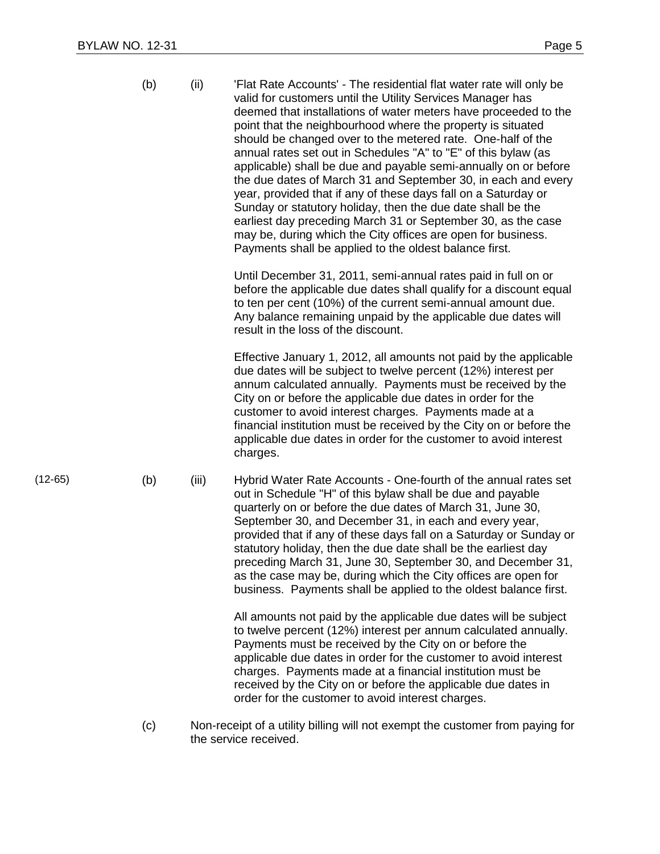|           | (b) | (ii)  | 'Flat Rate Accounts' - The residential flat water rate will only be<br>valid for customers until the Utility Services Manager has<br>deemed that installations of water meters have proceeded to the<br>point that the neighbourhood where the property is situated<br>should be changed over to the metered rate. One-half of the<br>annual rates set out in Schedules "A" to "E" of this bylaw (as<br>applicable) shall be due and payable semi-annually on or before<br>the due dates of March 31 and September 30, in each and every<br>year, provided that if any of these days fall on a Saturday or<br>Sunday or statutory holiday, then the due date shall be the<br>earliest day preceding March 31 or September 30, as the case<br>may be, during which the City offices are open for business.<br>Payments shall be applied to the oldest balance first. |
|-----------|-----|-------|---------------------------------------------------------------------------------------------------------------------------------------------------------------------------------------------------------------------------------------------------------------------------------------------------------------------------------------------------------------------------------------------------------------------------------------------------------------------------------------------------------------------------------------------------------------------------------------------------------------------------------------------------------------------------------------------------------------------------------------------------------------------------------------------------------------------------------------------------------------------|
|           |     |       | Until December 31, 2011, semi-annual rates paid in full on or<br>before the applicable due dates shall qualify for a discount equal<br>to ten per cent (10%) of the current semi-annual amount due.<br>Any balance remaining unpaid by the applicable due dates will<br>result in the loss of the discount.                                                                                                                                                                                                                                                                                                                                                                                                                                                                                                                                                         |
|           |     |       | Effective January 1, 2012, all amounts not paid by the applicable<br>due dates will be subject to twelve percent (12%) interest per<br>annum calculated annually. Payments must be received by the<br>City on or before the applicable due dates in order for the<br>customer to avoid interest charges. Payments made at a<br>financial institution must be received by the City on or before the<br>applicable due dates in order for the customer to avoid interest<br>charges.                                                                                                                                                                                                                                                                                                                                                                                  |
| $(12-65)$ | (b) | (iii) | Hybrid Water Rate Accounts - One-fourth of the annual rates set<br>out in Schedule "H" of this bylaw shall be due and payable<br>quarterly on or before the due dates of March 31, June 30,<br>September 30, and December 31, in each and every year,<br>provided that if any of these days fall on a Saturday or Sunday or<br>statutory holiday, then the due date shall be the earliest day<br>preceding March 31, June 30, September 30, and December 31,<br>as the case may be, during which the City offices are open for<br>business. Payments shall be applied to the oldest balance first.                                                                                                                                                                                                                                                                  |
|           |     |       | All amounts not paid by the applicable due dates will be subject<br>to twelve percent (12%) interest per annum calculated annually.<br>Payments must be received by the City on or before the<br>applicable due dates in order for the customer to avoid interest<br>charges. Payments made at a financial institution must be<br>received by the City on or before the applicable due dates in<br>order for the customer to avoid interest charges.                                                                                                                                                                                                                                                                                                                                                                                                                |
|           | (c) |       | Non-receipt of a utility billing will not exempt the customer from paying for                                                                                                                                                                                                                                                                                                                                                                                                                                                                                                                                                                                                                                                                                                                                                                                       |

the service received.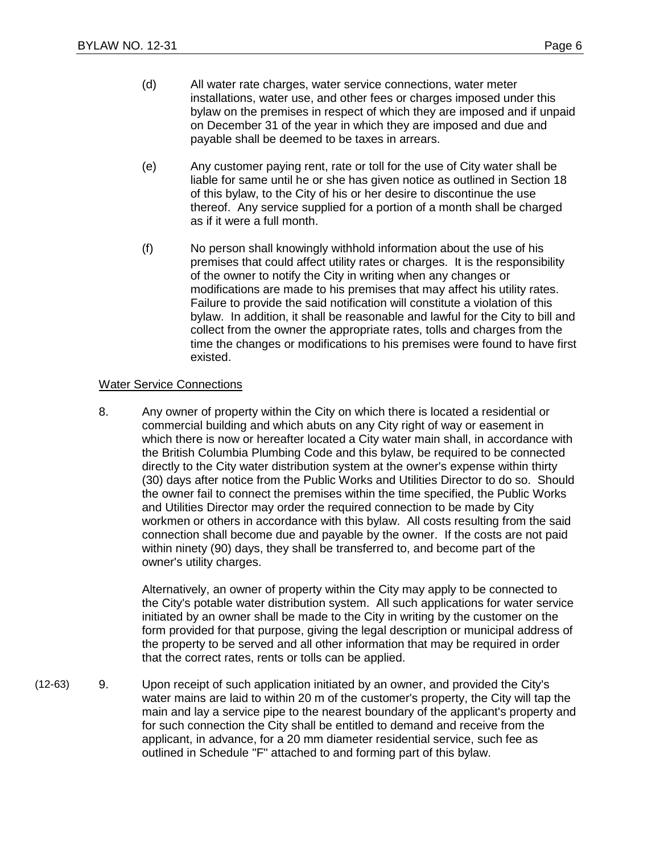- (d) All water rate charges, water service connections, water meter installations, water use, and other fees or charges imposed under this bylaw on the premises in respect of which they are imposed and if unpaid on December 31 of the year in which they are imposed and due and payable shall be deemed to be taxes in arrears.
- (e) Any customer paying rent, rate or toll for the use of City water shall be liable for same until he or she has given notice as outlined in Section 18 of this bylaw, to the City of his or her desire to discontinue the use thereof. Any service supplied for a portion of a month shall be charged as if it were a full month.
- (f) No person shall knowingly withhold information about the use of his premises that could affect utility rates or charges. It is the responsibility of the owner to notify the City in writing when any changes or modifications are made to his premises that may affect his utility rates. Failure to provide the said notification will constitute a violation of this bylaw. In addition, it shall be reasonable and lawful for the City to bill and collect from the owner the appropriate rates, tolls and charges from the time the changes or modifications to his premises were found to have first existed.

#### **Water Service Connections**

8. Any owner of property within the City on which there is located a residential or commercial building and which abuts on any City right of way or easement in which there is now or hereafter located a City water main shall, in accordance with the British Columbia Plumbing Code and this bylaw, be required to be connected directly to the City water distribution system at the owner's expense within thirty (30) days after notice from the Public Works and Utilities Director to do so. Should the owner fail to connect the premises within the time specified, the Public Works and Utilities Director may order the required connection to be made by City workmen or others in accordance with this bylaw. All costs resulting from the said connection shall become due and payable by the owner. If the costs are not paid within ninety (90) days, they shall be transferred to, and become part of the owner's utility charges.

Alternatively, an owner of property within the City may apply to be connected to the City's potable water distribution system. All such applications for water service initiated by an owner shall be made to the City in writing by the customer on the form provided for that purpose, giving the legal description or municipal address of the property to be served and all other information that may be required in order that the correct rates, rents or tolls can be applied.

(12-63) 9. Upon receipt of such application initiated by an owner, and provided the City's water mains are laid to within 20 m of the customer's property, the City will tap the main and lay a service pipe to the nearest boundary of the applicant's property and for such connection the City shall be entitled to demand and receive from the applicant, in advance, for a 20 mm diameter residential service, such fee as outlined in Schedule "F" attached to and forming part of this bylaw.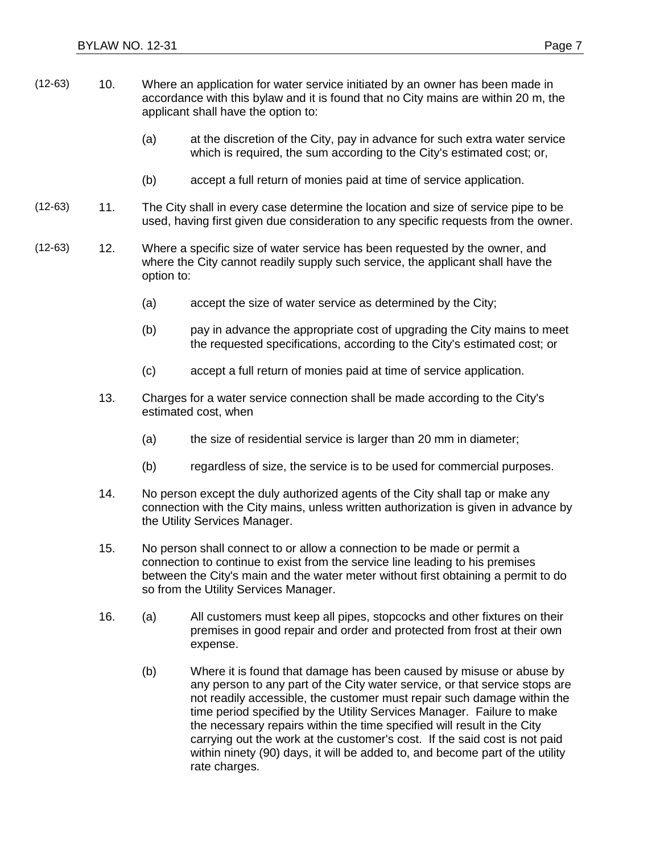- (12-63) 10. Where an application for water service initiated by an owner has been made in accordance with this bylaw and it is found that no City mains are within 20 m, the applicant shall have the option to:
	- (a) at the discretion of the City, pay in advance for such extra water service which is required, the sum according to the City's estimated cost; or,
	- (b) accept a full return of monies paid at time of service application.
- (12-63) 11. The City shall in every case determine the location and size of service pipe to be used, having first given due consideration to any specific requests from the owner.
- (12-63) 12. Where a specific size of water service has been requested by the owner, and where the City cannot readily supply such service, the applicant shall have the option to:
	- (a) accept the size of water service as determined by the City;
	- (b) pay in advance the appropriate cost of upgrading the City mains to meet the requested specifications, according to the City's estimated cost; or
	- (c) accept a full return of monies paid at time of service application.
	- 13. Charges for a water service connection shall be made according to the City's estimated cost, when
		- (a) the size of residential service is larger than 20 mm in diameter;
		- (b) regardless of size, the service is to be used for commercial purposes.
	- 14. No person except the duly authorized agents of the City shall tap or make any connection with the City mains, unless written authorization is given in advance by the Utility Services Manager.
	- 15. No person shall connect to or allow a connection to be made or permit a connection to continue to exist from the service line leading to his premises between the City's main and the water meter without first obtaining a permit to do so from the Utility Services Manager.
	- 16. (a) All customers must keep all pipes, stopcocks and other fixtures on their premises in good repair and order and protected from frost at their own expense.
		- (b) Where it is found that damage has been caused by misuse or abuse by any person to any part of the City water service, or that service stops are not readily accessible, the customer must repair such damage within the time period specified by the Utility Services Manager. Failure to make the necessary repairs within the time specified will result in the City carrying out the work at the customer's cost. If the said cost is not paid within ninety (90) days, it will be added to, and become part of the utility rate charges.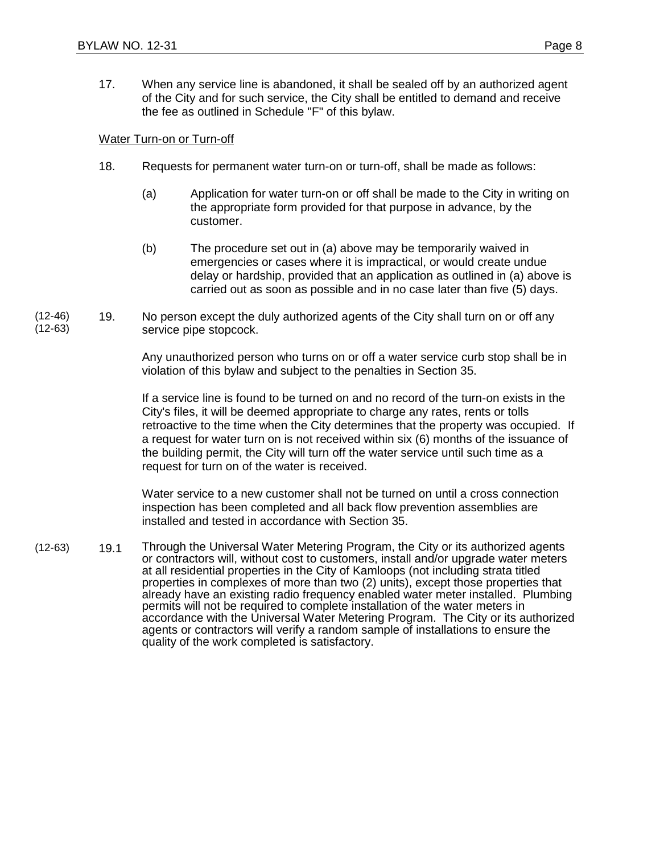17. When any service line is abandoned, it shall be sealed off by an authorized agent of the City and for such service, the City shall be entitled to demand and receive the fee as outlined in Schedule "F" of this bylaw.

#### Water Turn-on or Turn-off

- 18. Requests for permanent water turn-on or turn-off, shall be made as follows:
	- (a) Application for water turn-on or off shall be made to the City in writing on the appropriate form provided for that purpose in advance, by the customer.
	- (b) The procedure set out in (a) above may be temporarily waived in emergencies or cases where it is impractical, or would create undue delay or hardship, provided that an application as outlined in (a) above is carried out as soon as possible and in no case later than five (5) days.
- (12-46) (12-63) 19. No person except the duly authorized agents of the City shall turn on or off any service pipe stopcock.

Any unauthorized person who turns on or off a water service curb stop shall be in violation of this bylaw and subject to the penalties in Section 35.

If a service line is found to be turned on and no record of the turn-on exists in the City's files, it will be deemed appropriate to charge any rates, rents or tolls retroactive to the time when the City determines that the property was occupied. If a request for water turn on is not received within six (6) months of the issuance of the building permit, the City will turn off the water service until such time as a request for turn on of the water is received.

Water service to a new customer shall not be turned on until a cross connection inspection has been completed and all back flow prevention assemblies are installed and tested in accordance with Section 35.

(12-63) 19.1 Through the Universal Water Metering Program, the City or its authorized agents or contractors will, without cost to customers, install and/or upgrade water meters at all residential properties in the City of Kamloops (not including strata titled properties in complexes of more than two (2) units), except those properties that already have an existing radio frequency enabled water meter installed. Plumbing permits will not be required to complete installation of the water meters in accordance with the Universal Water Metering Program. The City or its authorized agents or contractors will verify a random sample of installations to ensure the quality of the work completed is satisfactory.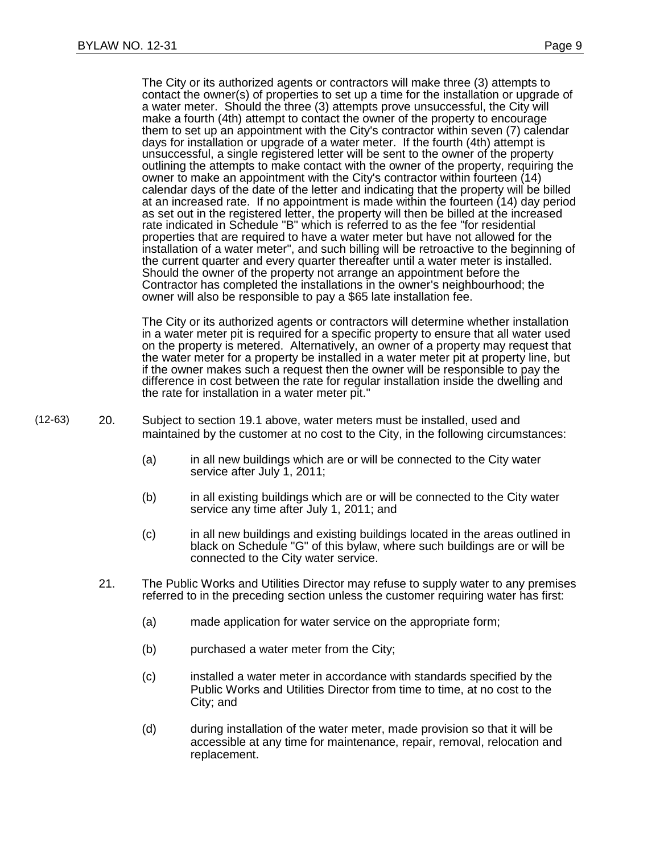The City or its authorized agents or contractors will make three (3) attempts to contact the owner(s) of properties to set up a time for the installation or upgrade of a water meter. Should the three (3) attempts prove unsuccessful, the City will make a fourth (4th) attempt to contact the owner of the property to encourage them to set up an appointment with the City's contractor within seven (7) calendar days for installation or upgrade of a water meter. If the fourth (4th) attempt is unsuccessful, a single registered letter will be sent to the owner of the property outlining the attempts to make contact with the owner of the property, requiring the owner to make an appointment with the City's contractor within fourteen (14) calendar days of the date of the letter and indicating that the property will be billed at an increased rate. If no appointment is made within the fourteen (14) day period as set out in the registered letter, the property will then be billed at the increased rate indicated in Schedule "B" which is referred to as the fee "for residential properties that are required to have a water meter but have not allowed for the installation of a water meter", and such billing will be retroactive to the beginning of the current quarter and every quarter thereafter until a water meter is installed. Should the owner of the property not arrange an appointment before the Contractor has completed the installations in the owner's neighbourhood; the owner will also be responsible to pay a \$65 late installation fee.

The City or its authorized agents or contractors will determine whether installation in a water meter pit is required for a specific property to ensure that all water used on the property is metered. Alternatively, an owner of a property may request that the water meter for a property be installed in a water meter pit at property line, but if the owner makes such a request then the owner will be responsible to pay the difference in cost between the rate for regular installation inside the dwelling and the rate for installation in a water meter pit."

- (12-63) 20. Subject to section 19.1 above, water meters must be installed, used and maintained by the customer at no cost to the City, in the following circumstances:
	- (a) in all new buildings which are or will be connected to the City water service after July 1, 2011;
	- (b) in all existing buildings which are or will be connected to the City water service any time after July 1, 2011; and
	- (c) in all new buildings and existing buildings located in the areas outlined in black on Schedule "G" of this bylaw, where such buildings are or will be connected to the City water service.
	- 21. The Public Works and Utilities Director may refuse to supply water to any premises referred to in the preceding section unless the customer requiring water has first:
		- (a) made application for water service on the appropriate form;
		- (b) purchased a water meter from the City;
		- (c) installed a water meter in accordance with standards specified by the Public Works and Utilities Director from time to time, at no cost to the City; and
		- (d) during installation of the water meter, made provision so that it will be accessible at any time for maintenance, repair, removal, relocation and replacement.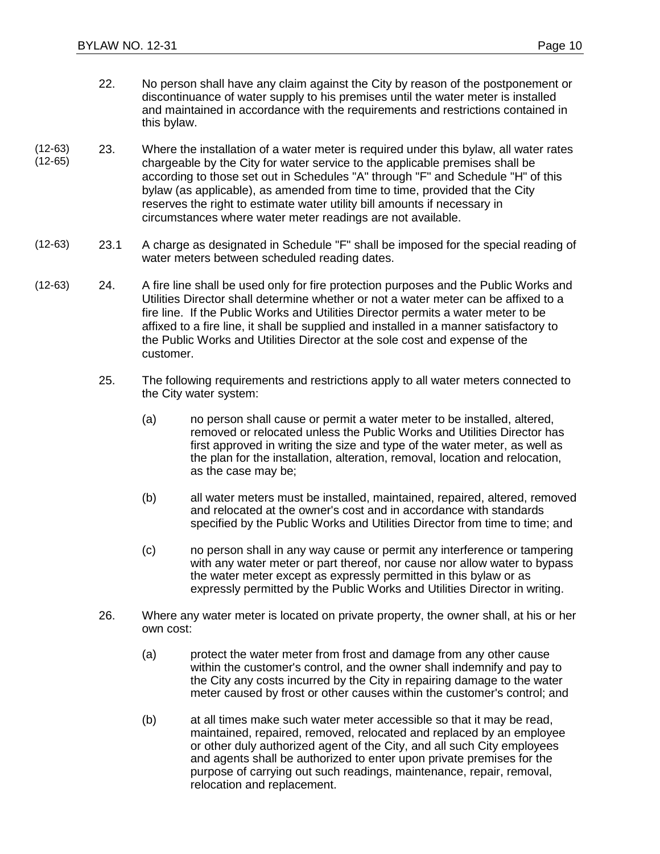- 22. No person shall have any claim against the City by reason of the postponement or discontinuance of water supply to his premises until the water meter is installed and maintained in accordance with the requirements and restrictions contained in this bylaw.
- (12-63) (12-65) 23. Where the installation of a water meter is required under this bylaw, all water rates chargeable by the City for water service to the applicable premises shall be according to those set out in Schedules "A" through "F" and Schedule "H" of this bylaw (as applicable), as amended from time to time, provided that the City reserves the right to estimate water utility bill amounts if necessary in circumstances where water meter readings are not available.
- (12-63) 23.1 A charge as designated in Schedule "F" shall be imposed for the special reading of water meters between scheduled reading dates.
- (12-63) 24. A fire line shall be used only for fire protection purposes and the Public Works and Utilities Director shall determine whether or not a water meter can be affixed to a fire line. If the Public Works and Utilities Director permits a water meter to be affixed to a fire line, it shall be supplied and installed in a manner satisfactory to the Public Works and Utilities Director at the sole cost and expense of the customer.
	- 25. The following requirements and restrictions apply to all water meters connected to the City water system:
		- (a) no person shall cause or permit a water meter to be installed, altered, removed or relocated unless the Public Works and Utilities Director has first approved in writing the size and type of the water meter, as well as the plan for the installation, alteration, removal, location and relocation, as the case may be;
		- (b) all water meters must be installed, maintained, repaired, altered, removed and relocated at the owner's cost and in accordance with standards specified by the Public Works and Utilities Director from time to time; and
		- (c) no person shall in any way cause or permit any interference or tampering with any water meter or part thereof, nor cause nor allow water to bypass the water meter except as expressly permitted in this bylaw or as expressly permitted by the Public Works and Utilities Director in writing.
	- 26. Where any water meter is located on private property, the owner shall, at his or her own cost:
		- (a) protect the water meter from frost and damage from any other cause within the customer's control, and the owner shall indemnify and pay to the City any costs incurred by the City in repairing damage to the water meter caused by frost or other causes within the customer's control; and
		- (b) at all times make such water meter accessible so that it may be read, maintained, repaired, removed, relocated and replaced by an employee or other duly authorized agent of the City, and all such City employees and agents shall be authorized to enter upon private premises for the purpose of carrying out such readings, maintenance, repair, removal, relocation and replacement.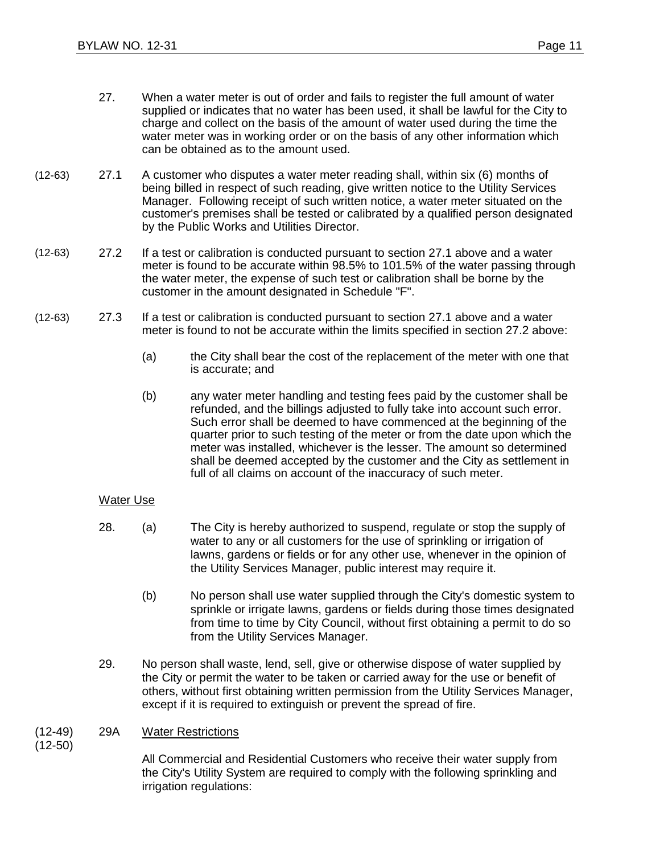- 27. When a water meter is out of order and fails to register the full amount of water supplied or indicates that no water has been used, it shall be lawful for the City to charge and collect on the basis of the amount of water used during the time the water meter was in working order or on the basis of any other information which can be obtained as to the amount used.
- (12-63) 27.1 A customer who disputes a water meter reading shall, within six (6) months of being billed in respect of such reading, give written notice to the Utility Services Manager. Following receipt of such written notice, a water meter situated on the customer's premises shall be tested or calibrated by a qualified person designated by the Public Works and Utilities Director.
- (12-63) 27.2 If a test or calibration is conducted pursuant to section 27.1 above and a water meter is found to be accurate within 98.5% to 101.5% of the water passing through the water meter, the expense of such test or calibration shall be borne by the customer in the amount designated in Schedule "F".
- (12-63) 27.3 If a test or calibration is conducted pursuant to section 27.1 above and a water meter is found to not be accurate within the limits specified in section 27.2 above:
	- (a) the City shall bear the cost of the replacement of the meter with one that is accurate; and
	- (b) any water meter handling and testing fees paid by the customer shall be refunded, and the billings adjusted to fully take into account such error. Such error shall be deemed to have commenced at the beginning of the quarter prior to such testing of the meter or from the date upon which the meter was installed, whichever is the lesser. The amount so determined shall be deemed accepted by the customer and the City as settlement in full of all claims on account of the inaccuracy of such meter.

#### Water Use

- 28. (a) The City is hereby authorized to suspend, regulate or stop the supply of water to any or all customers for the use of sprinkling or irrigation of lawns, gardens or fields or for any other use, whenever in the opinion of the Utility Services Manager, public interest may require it.
	- (b) No person shall use water supplied through the City's domestic system to sprinkle or irrigate lawns, gardens or fields during those times designated from time to time by City Council, without first obtaining a permit to do so from the Utility Services Manager.
- 29. No person shall waste, lend, sell, give or otherwise dispose of water supplied by the City or permit the water to be taken or carried away for the use or benefit of others, without first obtaining written permission from the Utility Services Manager, except if it is required to extinguish or prevent the spread of fire.

#### (12-49) 29A Water Restrictions

(12-50)

All Commercial and Residential Customers who receive their water supply from the City's Utility System are required to comply with the following sprinkling and irrigation regulations: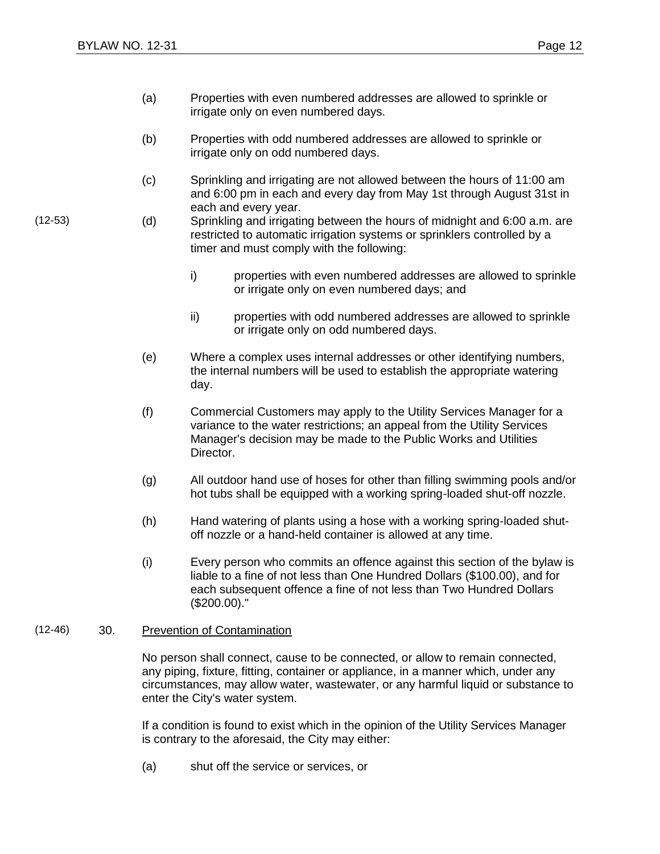- (a) Properties with even numbered addresses are allowed to sprinkle or irrigate only on even numbered days.
- (b) Properties with odd numbered addresses are allowed to sprinkle or irrigate only on odd numbered days.
- (c) Sprinkling and irrigating are not allowed between the hours of 11:00 am and 6:00 pm in each and every day from May 1st through August 31st in each and every year.
- (12-53) (d) Sprinkling and irrigating between the hours of midnight and 6:00 a.m. are restricted to automatic irrigation systems or sprinklers controlled by a timer and must comply with the following:
	- i) properties with even numbered addresses are allowed to sprinkle or irrigate only on even numbered days; and
	- ii) properties with odd numbered addresses are allowed to sprinkle or irrigate only on odd numbered days.
	- (e) Where a complex uses internal addresses or other identifying numbers, the internal numbers will be used to establish the appropriate watering day.
	- (f) Commercial Customers may apply to the Utility Services Manager for a variance to the water restrictions; an appeal from the Utility Services Manager's decision may be made to the Public Works and Utilities Director.
	- (g) All outdoor hand use of hoses for other than filling swimming pools and/or hot tubs shall be equipped with a working spring-loaded shut-off nozzle.
	- (h) Hand watering of plants using a hose with a working spring-loaded shutoff nozzle or a hand-held container is allowed at any time.
	- (i) Every person who commits an offence against this section of the bylaw is liable to a fine of not less than One Hundred Dollars (\$100.00), and for each subsequent offence a fine of not less than Two Hundred Dollars (\$200.00)."

#### (12-46) 30. Prevention of Contamination

No person shall connect, cause to be connected, or allow to remain connected, any piping, fixture, fitting, container or appliance, in a manner which, under any circumstances, may allow water, wastewater, or any harmful liquid or substance to enter the City's water system.

If a condition is found to exist which in the opinion of the Utility Services Manager is contrary to the aforesaid, the City may either:

(a) shut off the service or services, or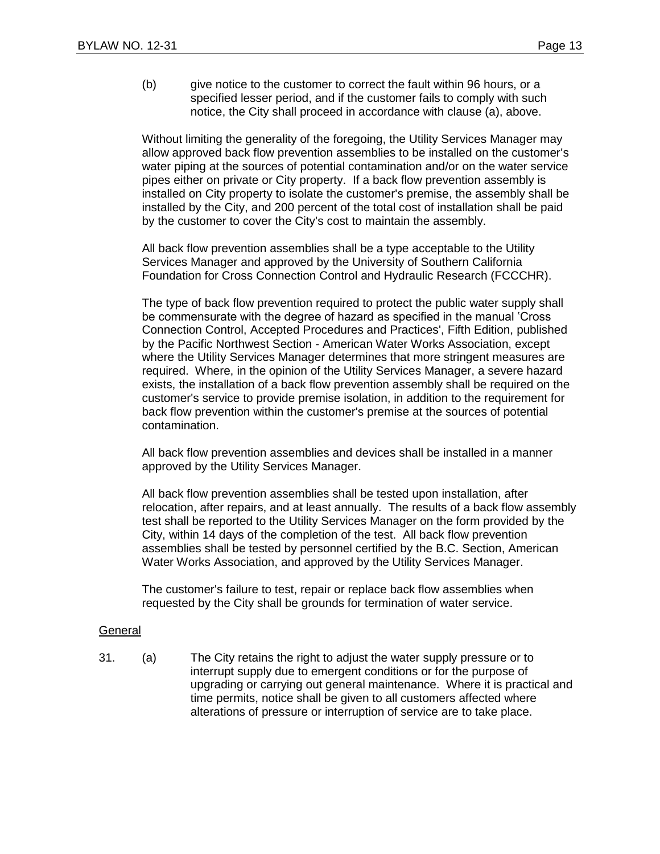(b) give notice to the customer to correct the fault within 96 hours, or a specified lesser period, and if the customer fails to comply with such notice, the City shall proceed in accordance with clause (a), above.

Without limiting the generality of the foregoing, the Utility Services Manager may allow approved back flow prevention assemblies to be installed on the customer's water piping at the sources of potential contamination and/or on the water service pipes either on private or City property. If a back flow prevention assembly is installed on City property to isolate the customer's premise, the assembly shall be installed by the City, and 200 percent of the total cost of installation shall be paid by the customer to cover the City's cost to maintain the assembly.

All back flow prevention assemblies shall be a type acceptable to the Utility Services Manager and approved by the University of Southern California Foundation for Cross Connection Control and Hydraulic Research (FCCCHR).

The type of back flow prevention required to protect the public water supply shall be commensurate with the degree of hazard as specified in the manual 'Cross Connection Control, Accepted Procedures and Practices', Fifth Edition, published by the Pacific Northwest Section - American Water Works Association, except where the Utility Services Manager determines that more stringent measures are required. Where, in the opinion of the Utility Services Manager, a severe hazard exists, the installation of a back flow prevention assembly shall be required on the customer's service to provide premise isolation, in addition to the requirement for back flow prevention within the customer's premise at the sources of potential contamination.

All back flow prevention assemblies and devices shall be installed in a manner approved by the Utility Services Manager.

All back flow prevention assemblies shall be tested upon installation, after relocation, after repairs, and at least annually. The results of a back flow assembly test shall be reported to the Utility Services Manager on the form provided by the City, within 14 days of the completion of the test. All back flow prevention assemblies shall be tested by personnel certified by the B.C. Section, American Water Works Association, and approved by the Utility Services Manager.

The customer's failure to test, repair or replace back flow assemblies when requested by the City shall be grounds for termination of water service.

#### **General**

31. (a) The City retains the right to adjust the water supply pressure or to interrupt supply due to emergent conditions or for the purpose of upgrading or carrying out general maintenance. Where it is practical and time permits, notice shall be given to all customers affected where alterations of pressure or interruption of service are to take place.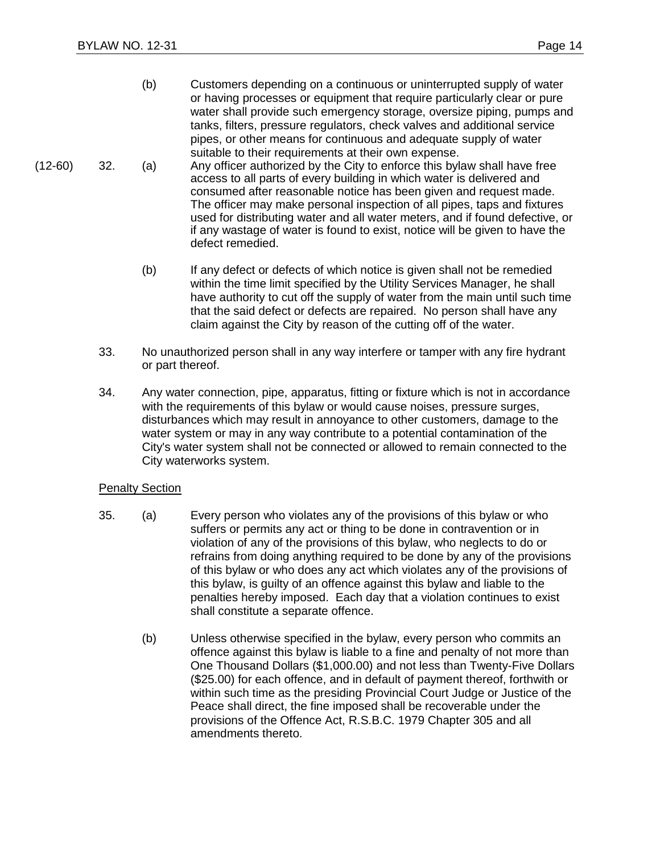- (b) Customers depending on a continuous or uninterrupted supply of water or having processes or equipment that require particularly clear or pure water shall provide such emergency storage, oversize piping, pumps and tanks, filters, pressure regulators, check valves and additional service pipes, or other means for continuous and adequate supply of water suitable to their requirements at their own expense.
- (12-60) 32. (a) Any officer authorized by the City to enforce this bylaw shall have free access to all parts of every building in which water is delivered and consumed after reasonable notice has been given and request made. The officer may make personal inspection of all pipes, taps and fixtures used for distributing water and all water meters, and if found defective, or if any wastage of water is found to exist, notice will be given to have the defect remedied.
	- (b) If any defect or defects of which notice is given shall not be remedied within the time limit specified by the Utility Services Manager, he shall have authority to cut off the supply of water from the main until such time that the said defect or defects are repaired. No person shall have any claim against the City by reason of the cutting off of the water.
	- 33. No unauthorized person shall in any way interfere or tamper with any fire hydrant or part thereof.
	- 34. Any water connection, pipe, apparatus, fitting or fixture which is not in accordance with the requirements of this bylaw or would cause noises, pressure surges, disturbances which may result in annoyance to other customers, damage to the water system or may in any way contribute to a potential contamination of the City's water system shall not be connected or allowed to remain connected to the City waterworks system.

#### Penalty Section

- 35. (a) Every person who violates any of the provisions of this bylaw or who suffers or permits any act or thing to be done in contravention or in violation of any of the provisions of this bylaw, who neglects to do or refrains from doing anything required to be done by any of the provisions of this bylaw or who does any act which violates any of the provisions of this bylaw, is guilty of an offence against this bylaw and liable to the penalties hereby imposed. Each day that a violation continues to exist shall constitute a separate offence.
	- (b) Unless otherwise specified in the bylaw, every person who commits an offence against this bylaw is liable to a fine and penalty of not more than One Thousand Dollars (\$1,000.00) and not less than Twenty-Five Dollars (\$25.00) for each offence, and in default of payment thereof, forthwith or within such time as the presiding Provincial Court Judge or Justice of the Peace shall direct, the fine imposed shall be recoverable under the provisions of the Offence Act, R.S.B.C. 1979 Chapter 305 and all amendments thereto.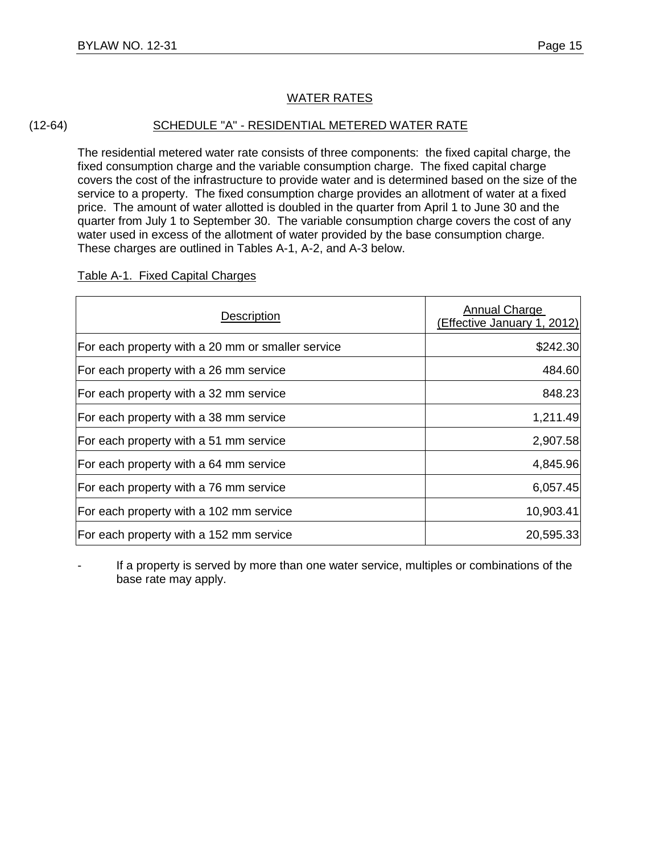#### (12-64) SCHEDULE "A" - RESIDENTIAL METERED WATER RATE

The residential metered water rate consists of three components: the fixed capital charge, the fixed consumption charge and the variable consumption charge. The fixed capital charge covers the cost of the infrastructure to provide water and is determined based on the size of the service to a property. The fixed consumption charge provides an allotment of water at a fixed price. The amount of water allotted is doubled in the quarter from April 1 to June 30 and the quarter from July 1 to September 30. The variable consumption charge covers the cost of any water used in excess of the allotment of water provided by the base consumption charge. These charges are outlined in Tables A-1, A-2, and A-3 below.

#### Table A-1. Fixed Capital Charges

| Description                                       | Annual Charge<br>(Effective January 1, 2012) |
|---------------------------------------------------|----------------------------------------------|
| For each property with a 20 mm or smaller service | \$242.30                                     |
| For each property with a 26 mm service            | 484.60                                       |
| For each property with a 32 mm service            | 848.23                                       |
| For each property with a 38 mm service            | 1,211.49                                     |
| For each property with a 51 mm service            | 2,907.58                                     |
| For each property with a 64 mm service            | 4,845.96                                     |
| For each property with a 76 mm service            | 6,057.45                                     |
| For each property with a 102 mm service           | 10,903.41                                    |
| For each property with a 152 mm service           | 20,595.33                                    |

- If a property is served by more than one water service, multiples or combinations of the base rate may apply.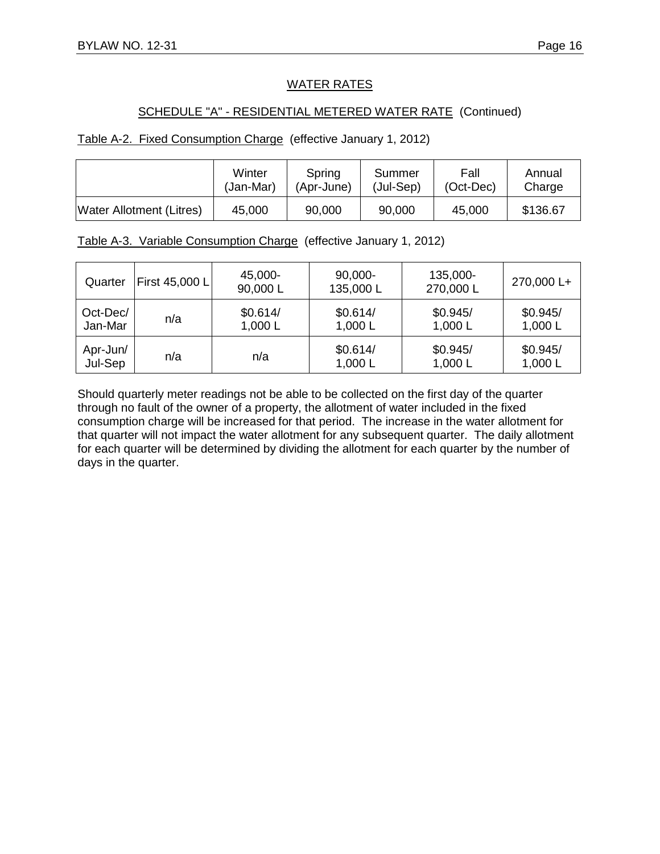#### SCHEDULE "A" - RESIDENTIAL METERED WATER RATE (Continued)

#### Table A-2. Fixed Consumption Charge (effective January 1, 2012)

|                                 | Winter    | Spring     | Summer    | Fall        | Annual   |
|---------------------------------|-----------|------------|-----------|-------------|----------|
|                                 | (Jan-Mar) | (Apr-June) | (Jul-Sep) | $(Oct-Dec)$ | Charge   |
| <b>Water Allotment (Litres)</b> | 45,000    | 90,000     | 90,000    | 45,000      | \$136.67 |

|  | Table A-3. Variable Consumption Charge (effective January 1, 2012) |  |  |
|--|--------------------------------------------------------------------|--|--|
|  |                                                                    |  |  |

| Quarter             | First 45,000 L | 45,000-<br>90,000L  | 90,000-<br>135,000L   | 135,000-<br>270,000 L | 270,000 L+          |
|---------------------|----------------|---------------------|-----------------------|-----------------------|---------------------|
| Oct-Dec/<br>Jan-Mar | n/a            | \$0.614/<br>1,000 L | \$0.614/<br>1,000 $L$ | \$0.945/<br>1,000 L   | \$0.945/<br>1,000L  |
| Apr-Jun/<br>Jul-Sep | n/a            | n/a                 | \$0.614/<br>1,000 $L$ | \$0.945/<br>1,000 L   | \$0.945/<br>1,000 L |

Should quarterly meter readings not be able to be collected on the first day of the quarter through no fault of the owner of a property, the allotment of water included in the fixed consumption charge will be increased for that period. The increase in the water allotment for that quarter will not impact the water allotment for any subsequent quarter. The daily allotment for each quarter will be determined by dividing the allotment for each quarter by the number of days in the quarter.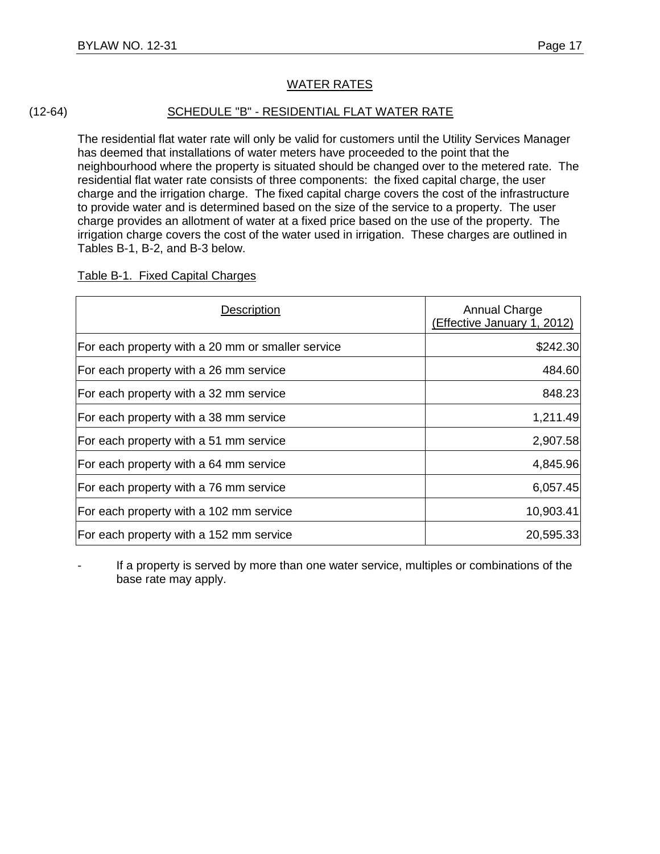#### (12-64) SCHEDULE "B" - RESIDENTIAL FLAT WATER RATE

The residential flat water rate will only be valid for customers until the Utility Services Manager has deemed that installations of water meters have proceeded to the point that the neighbourhood where the property is situated should be changed over to the metered rate. The residential flat water rate consists of three components: the fixed capital charge, the user charge and the irrigation charge. The fixed capital charge covers the cost of the infrastructure to provide water and is determined based on the size of the service to a property. The user charge provides an allotment of water at a fixed price based on the use of the property. The irrigation charge covers the cost of the water used in irrigation. These charges are outlined in Tables B-1, B-2, and B-3 below.

#### Table B-1. Fixed Capital Charges

| Description                                       | Annual Charge<br>(Effective January 1, 2012) |
|---------------------------------------------------|----------------------------------------------|
| For each property with a 20 mm or smaller service | \$242.30                                     |
| For each property with a 26 mm service            | 484.60                                       |
| For each property with a 32 mm service            | 848.23                                       |
| For each property with a 38 mm service            | 1,211.49                                     |
| For each property with a 51 mm service            | 2,907.58                                     |
| For each property with a 64 mm service            | 4,845.96                                     |
| For each property with a 76 mm service            | 6,057.45                                     |
| For each property with a 102 mm service           | 10,903.41                                    |
| For each property with a 152 mm service           | 20,595.33                                    |

If a property is served by more than one water service, multiples or combinations of the base rate may apply.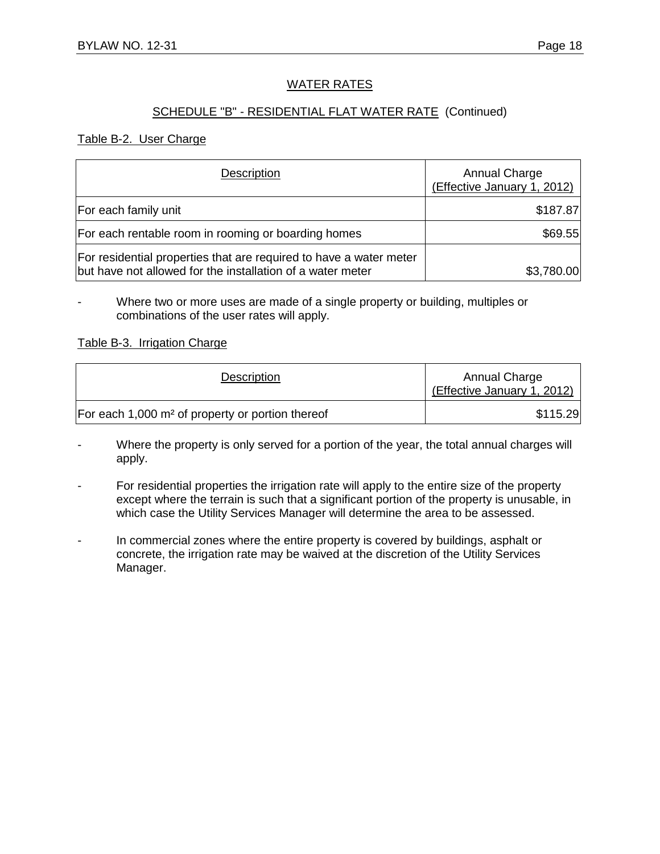#### SCHEDULE "B" - RESIDENTIAL FLAT WATER RATE (Continued)

#### Table B-2. User Charge

| Description                                                                                                                      | Annual Charge<br>(Effective January 1, 2012) |
|----------------------------------------------------------------------------------------------------------------------------------|----------------------------------------------|
| For each family unit                                                                                                             | \$187.87                                     |
| For each rentable room in rooming or boarding homes                                                                              | \$69.55                                      |
| For residential properties that are required to have a water meter<br>but have not allowed for the installation of a water meter | \$3,780.00                                   |

Where two or more uses are made of a single property or building, multiples or combinations of the user rates will apply.

#### Table B-3. Irrigation Charge

| Description                                                  | Annual Charge<br>(Effective January 1, 2012) |
|--------------------------------------------------------------|----------------------------------------------|
| For each 1,000 m <sup>2</sup> of property or portion thereof | \$115.29                                     |

- Where the property is only served for a portion of the year, the total annual charges will apply.

- For residential properties the irrigation rate will apply to the entire size of the property except where the terrain is such that a significant portion of the property is unusable, in which case the Utility Services Manager will determine the area to be assessed.
- In commercial zones where the entire property is covered by buildings, asphalt or concrete, the irrigation rate may be waived at the discretion of the Utility Services Manager.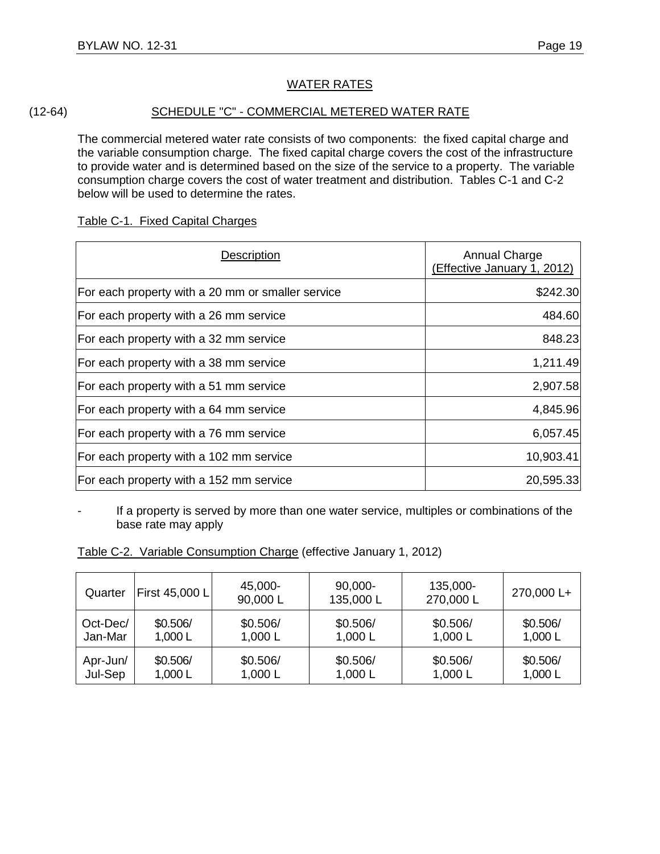#### (12-64) SCHEDULE "C" - COMMERCIAL METERED WATER RATE

The commercial metered water rate consists of two components: the fixed capital charge and the variable consumption charge. The fixed capital charge covers the cost of the infrastructure to provide water and is determined based on the size of the service to a property. The variable consumption charge covers the cost of water treatment and distribution. Tables C-1 and C-2 below will be used to determine the rates.

#### Table C-1. Fixed Capital Charges

| Description                                       | <b>Annual Charge</b><br>(Effective January 1, 2012) |
|---------------------------------------------------|-----------------------------------------------------|
| For each property with a 20 mm or smaller service | \$242.30                                            |
| For each property with a 26 mm service            | 484.60                                              |
| For each property with a 32 mm service            | 848.23                                              |
| For each property with a 38 mm service            | 1,211.49                                            |
| For each property with a 51 mm service            | 2,907.58                                            |
| For each property with a 64 mm service            | 4,845.96                                            |
| For each property with a 76 mm service            | 6,057.45                                            |
| For each property with a 102 mm service           | 10,903.41                                           |
| For each property with a 152 mm service           | 20,595.33                                           |

If a property is served by more than one water service, multiples or combinations of the base rate may apply

Table C-2. Variable Consumption Charge (effective January 1, 2012)

| Quarter  | First 45,000 L | 45,000-<br>90,000 L | 90,000-<br>135,000L | 135,000-<br>270,000 L | 270,000 L+ |
|----------|----------------|---------------------|---------------------|-----------------------|------------|
| Oct-Dec/ | \$0.506/       | \$0.506/            | \$0.506/            | \$0.506/              | \$0.506/   |
| Jan-Mar  | 1,000L         | 1,000 L             | 1,000 $L$           | 1,000 L               | 1,000L     |
| Apr-Jun/ | \$0.506/       | \$0.506/            | \$0.506/            | \$0.506/              | \$0.506/   |
| Jul-Sep  | 1,000L         | 1,000 L             | 1,000 L             | 1,000 L               | 1,000L     |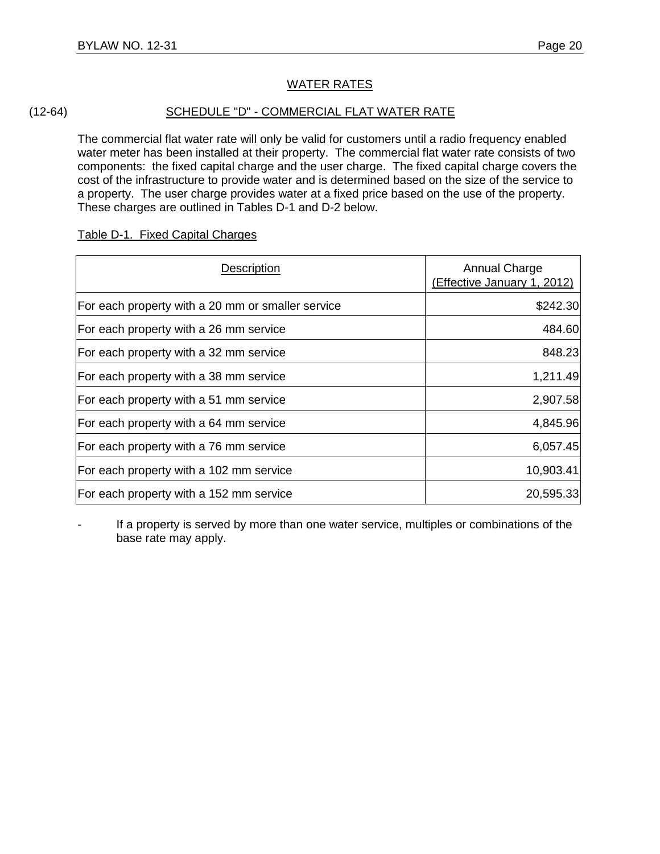#### (12-64) SCHEDULE "D" - COMMERCIAL FLAT WATER RATE

The commercial flat water rate will only be valid for customers until a radio frequency enabled water meter has been installed at their property. The commercial flat water rate consists of two components: the fixed capital charge and the user charge. The fixed capital charge covers the cost of the infrastructure to provide water and is determined based on the size of the service to a property. The user charge provides water at a fixed price based on the use of the property. These charges are outlined in Tables D-1 and D-2 below.

| Description                                       | Annual Charge<br>(Effective January 1, 2012) |
|---------------------------------------------------|----------------------------------------------|
| For each property with a 20 mm or smaller service | \$242.30                                     |
| For each property with a 26 mm service            | 484.60                                       |
| For each property with a 32 mm service            | 848.23                                       |
| For each property with a 38 mm service            | 1,211.49                                     |
| For each property with a 51 mm service            | 2,907.58                                     |
| For each property with a 64 mm service            | 4,845.96                                     |
| For each property with a 76 mm service            | 6,057.45                                     |
| For each property with a 102 mm service           | 10,903.41                                    |
| For each property with a 152 mm service           | 20,595.33                                    |

#### Table D-1. Fixed Capital Charges

If a property is served by more than one water service, multiples or combinations of the base rate may apply.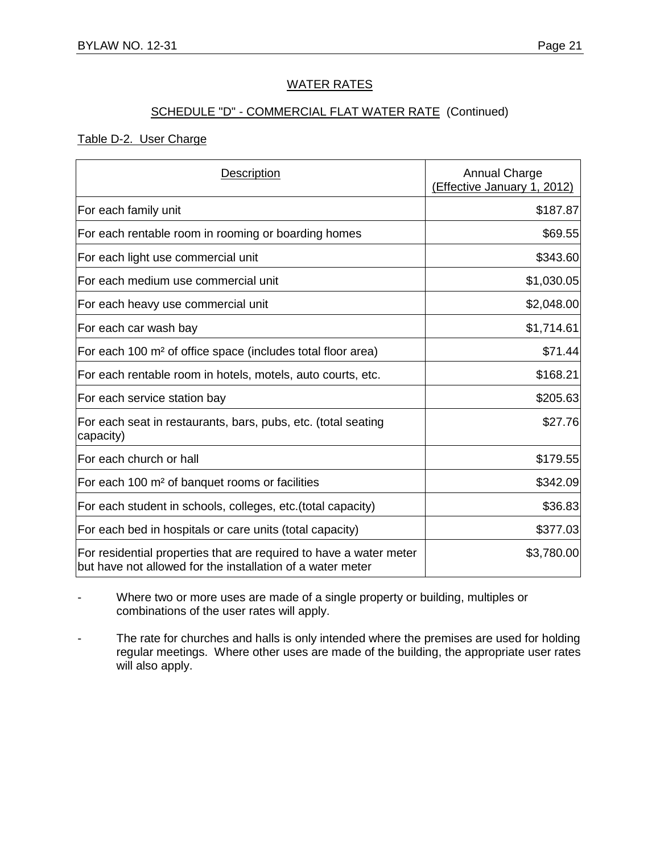#### SCHEDULE "D" - COMMERCIAL FLAT WATER RATE (Continued)

#### Table D-2. User Charge

| Description                                                                                                                      | <b>Annual Charge</b><br>(Effective January 1, 2012) |
|----------------------------------------------------------------------------------------------------------------------------------|-----------------------------------------------------|
| For each family unit                                                                                                             | \$187.87                                            |
| For each rentable room in rooming or boarding homes                                                                              | \$69.55                                             |
| For each light use commercial unit                                                                                               | \$343.60                                            |
| For each medium use commercial unit                                                                                              | \$1,030.05                                          |
| For each heavy use commercial unit                                                                                               | \$2,048.00                                          |
| For each car wash bay                                                                                                            | \$1,714.61                                          |
| For each 100 m <sup>2</sup> of office space (includes total floor area)                                                          | \$71.44                                             |
| For each rentable room in hotels, motels, auto courts, etc.                                                                      | \$168.21                                            |
| For each service station bay                                                                                                     | \$205.63                                            |
| For each seat in restaurants, bars, pubs, etc. (total seating<br>capacity)                                                       | \$27.76                                             |
| For each church or hall                                                                                                          | \$179.55                                            |
| For each 100 m <sup>2</sup> of banquet rooms or facilities                                                                       | \$342.09                                            |
| For each student in schools, colleges, etc. (total capacity)                                                                     | \$36.83                                             |
| For each bed in hospitals or care units (total capacity)                                                                         | \$377.03                                            |
| For residential properties that are required to have a water meter<br>but have not allowed for the installation of a water meter | \$3,780.00                                          |

Where two or more uses are made of a single property or building, multiples or combinations of the user rates will apply.

- The rate for churches and halls is only intended where the premises are used for holding regular meetings. Where other uses are made of the building, the appropriate user rates will also apply.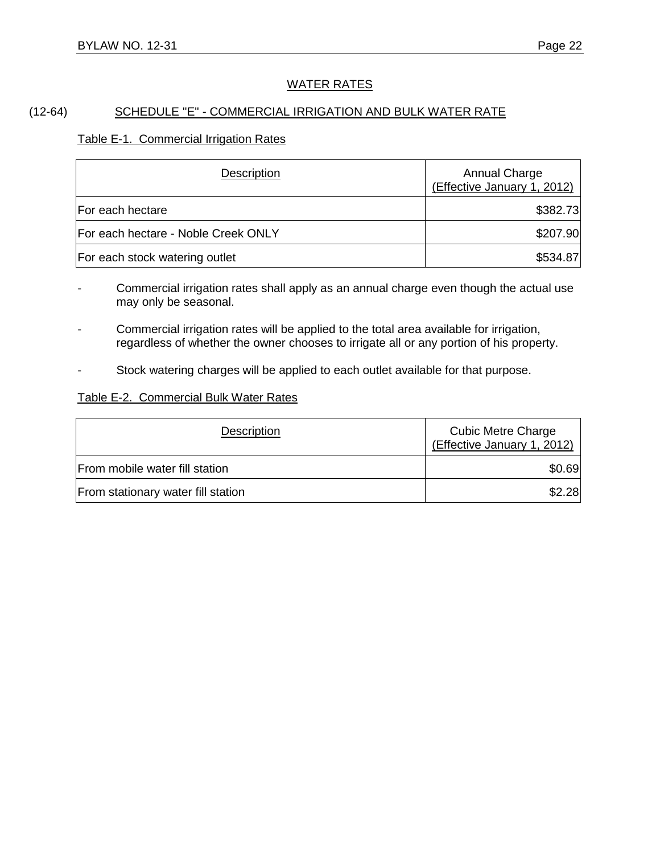#### (12-64) SCHEDULE "E" - COMMERCIAL IRRIGATION AND BULK WATER RATE

#### Table E-1. Commercial Irrigation Rates

| Description                         | Annual Charge<br>(Effective January 1, 2012) |
|-------------------------------------|----------------------------------------------|
| For each hectare                    | \$382.73                                     |
| For each hectare - Noble Creek ONLY | \$207.90                                     |
| For each stock watering outlet      | \$534.87                                     |

Commercial irrigation rates shall apply as an annual charge even though the actual use may only be seasonal.

- Commercial irrigation rates will be applied to the total area available for irrigation, regardless of whether the owner chooses to irrigate all or any portion of his property.
- Stock watering charges will be applied to each outlet available for that purpose.

#### Table E-2. Commercial Bulk Water Rates

| Description                        | <b>Cubic Metre Charge</b><br>(Effective January 1, 2012) |
|------------------------------------|----------------------------------------------------------|
| From mobile water fill station     | \$0.69                                                   |
| From stationary water fill station | \$2.28                                                   |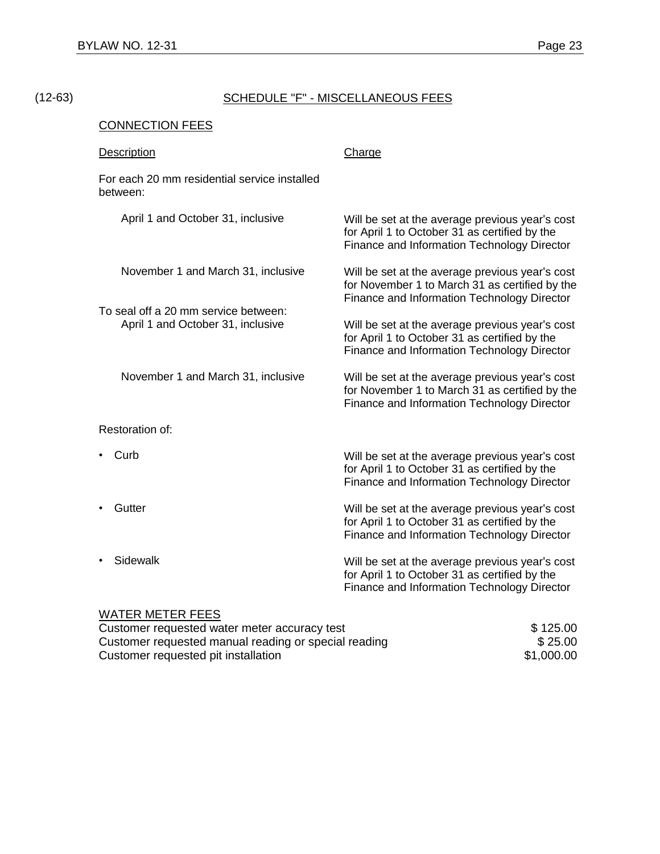## (12-63) SCHEDULE "F" - MISCELLANEOUS FEES

#### CONNECTION FEES

| <b>Description</b>                                                         | Charge                                                                                                                                           |
|----------------------------------------------------------------------------|--------------------------------------------------------------------------------------------------------------------------------------------------|
| For each 20 mm residential service installed<br>between:                   |                                                                                                                                                  |
| April 1 and October 31, inclusive                                          | Will be set at the average previous year's cost<br>for April 1 to October 31 as certified by the<br>Finance and Information Technology Director  |
| November 1 and March 31, inclusive<br>To seal off a 20 mm service between: | Will be set at the average previous year's cost<br>for November 1 to March 31 as certified by the<br>Finance and Information Technology Director |
| April 1 and October 31, inclusive                                          | Will be set at the average previous year's cost<br>for April 1 to October 31 as certified by the<br>Finance and Information Technology Director  |
| November 1 and March 31, inclusive                                         | Will be set at the average previous year's cost<br>for November 1 to March 31 as certified by the<br>Finance and Information Technology Director |
| Restoration of:                                                            |                                                                                                                                                  |
| Curb                                                                       | Will be set at the average previous year's cost<br>for April 1 to October 31 as certified by the<br>Finance and Information Technology Director  |
| Gutter                                                                     | Will be set at the average previous year's cost<br>for April 1 to October 31 as certified by the<br>Finance and Information Technology Director  |
| Sidewalk                                                                   | Will be set at the average previous year's cost<br>for April 1 to October 31 as certified by the<br>Finance and Information Technology Director  |
| <b>WATER METER FEES</b>                                                    |                                                                                                                                                  |

| Customer requested water meter accuracy test         | \$125.00   |
|------------------------------------------------------|------------|
| Customer requested manual reading or special reading | \$25.00    |
| Customer requested pit installation                  | \$1,000.00 |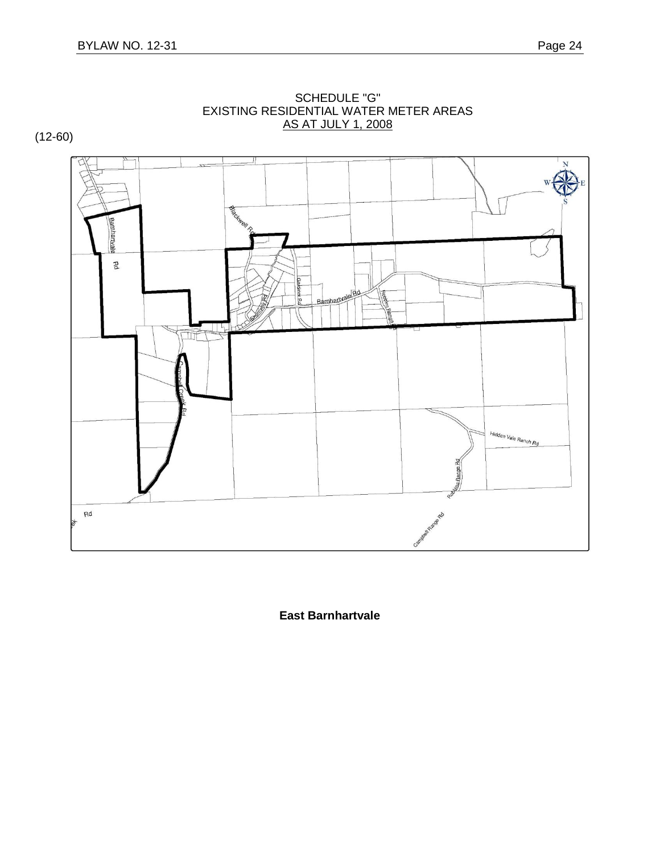

SCHEDULE "G" EXISTING RESIDENTIAL WATER METER AREAS AS AT JULY 1, 2008

**East Barnhartvale**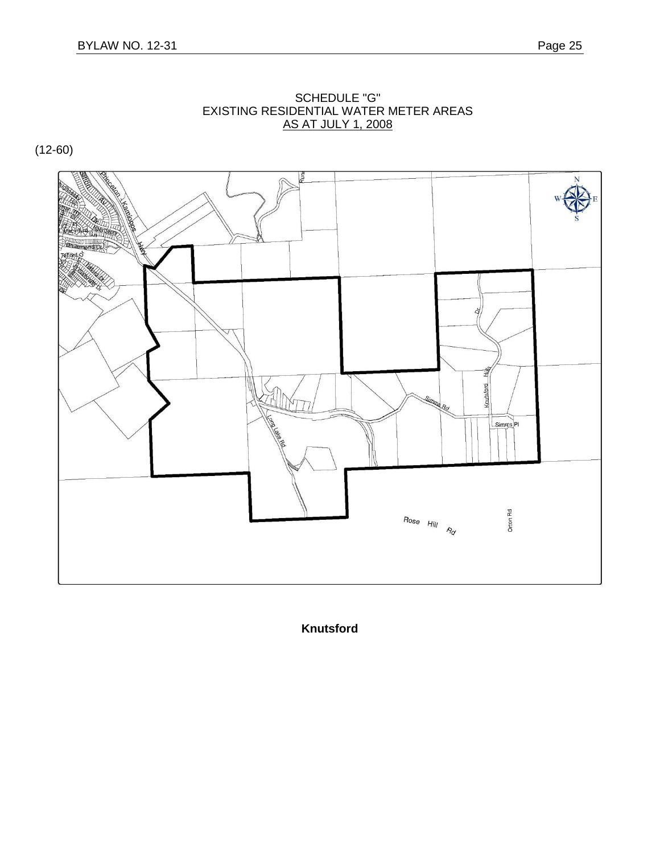

SCHEDULE "G" EXISTING RESIDENTIAL WATER METER AREAS AS AT JULY 1, 2008

**Knutsford**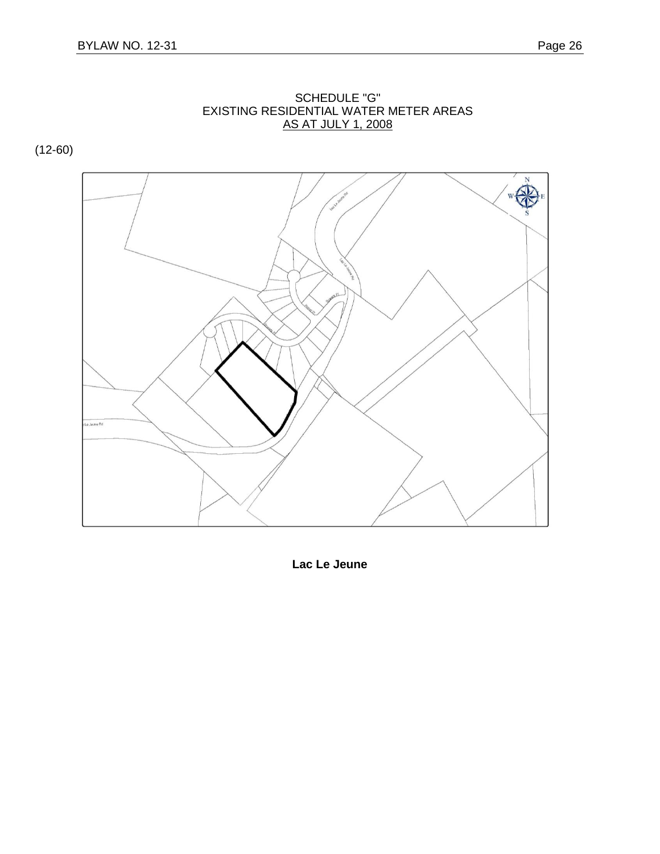

SCHEDULE "G" EXISTING RESIDENTIAL WATER METER AREAS AS AT JULY 1, 2008

**Lac Le Jeune**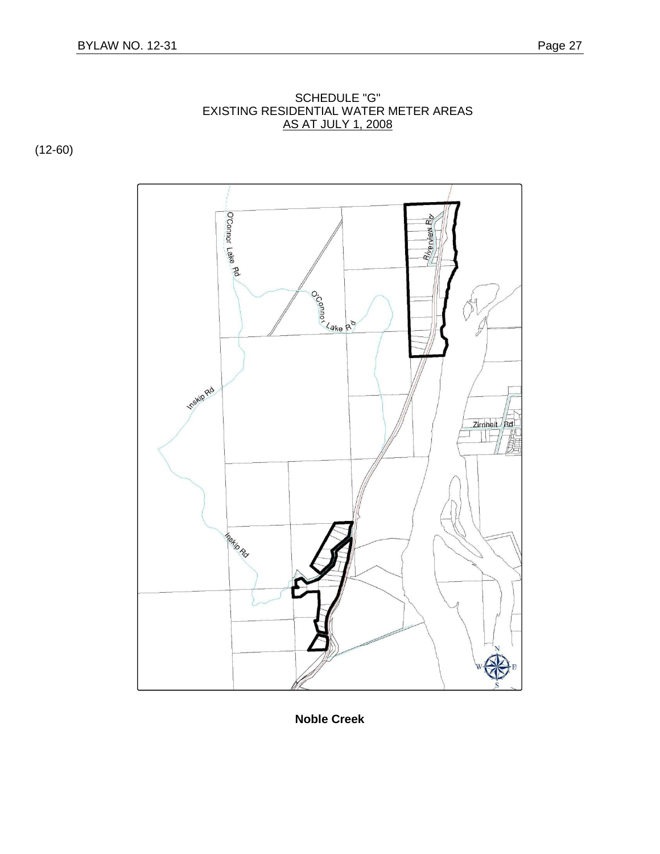

SCHEDULE "G" EXISTING RESIDENTIAL WATER METER AREAS <u>AS AT JULY 1, 2008</u>

**Noble Creek**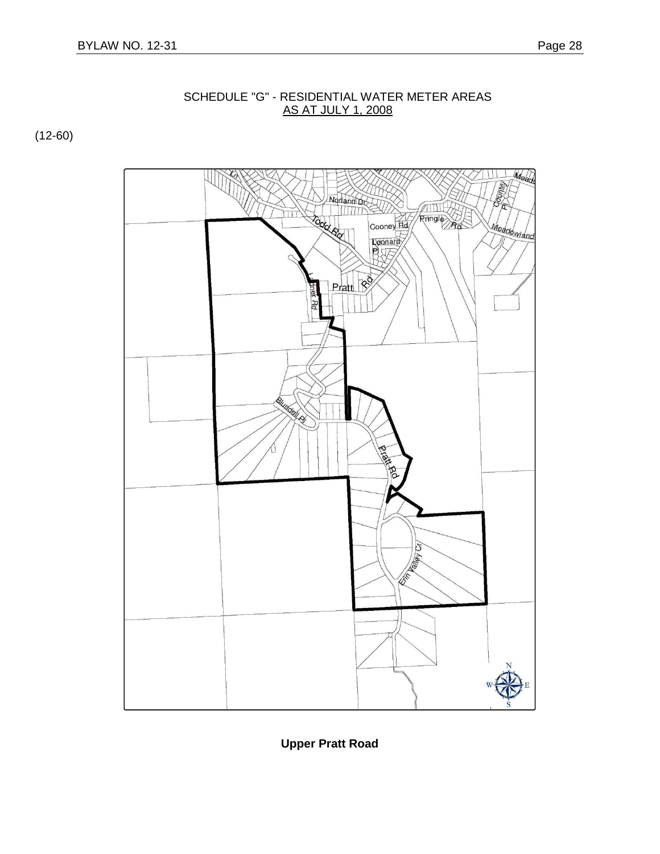

SCHEDULE "G" - RESIDENTIAL WATER METER AREAS AS AT JULY 1, 2008

**Upper Pratt Road**